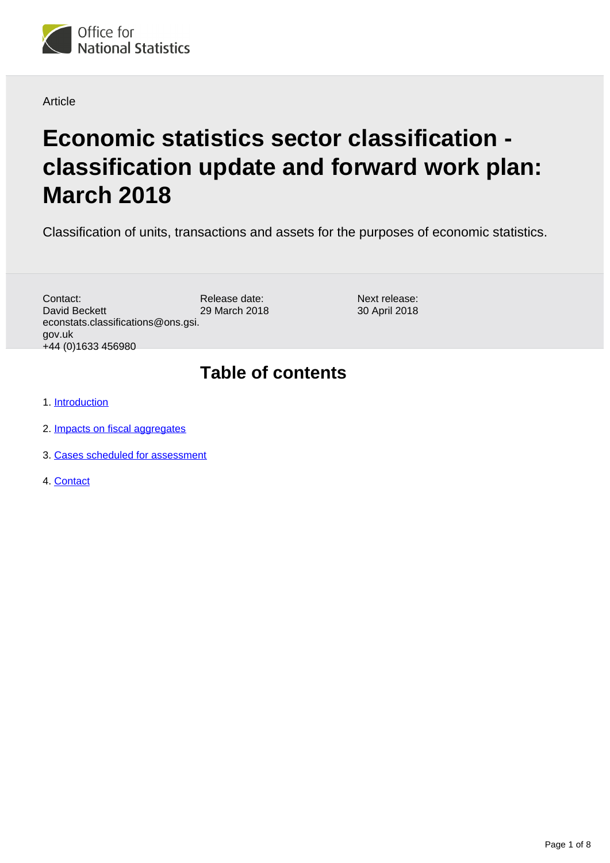

#### Article

# **Economic statistics sector classification classification update and forward work plan: March 2018**

Classification of units, transactions and assets for the purposes of economic statistics.

Release date: 29 March 2018 Contact: David Beckett econstats.classifications@ons.gsi. gov.uk +44 (0)1633 456980

Next release: 30 April 2018

# **Table of contents**

- 1. [Introduction](#page-1-0)
- 2. [Impacts on fiscal aggregates](#page-1-1)
- 3. [Cases scheduled for assessment](#page-2-0)
- 4. [Contact](#page-7-0)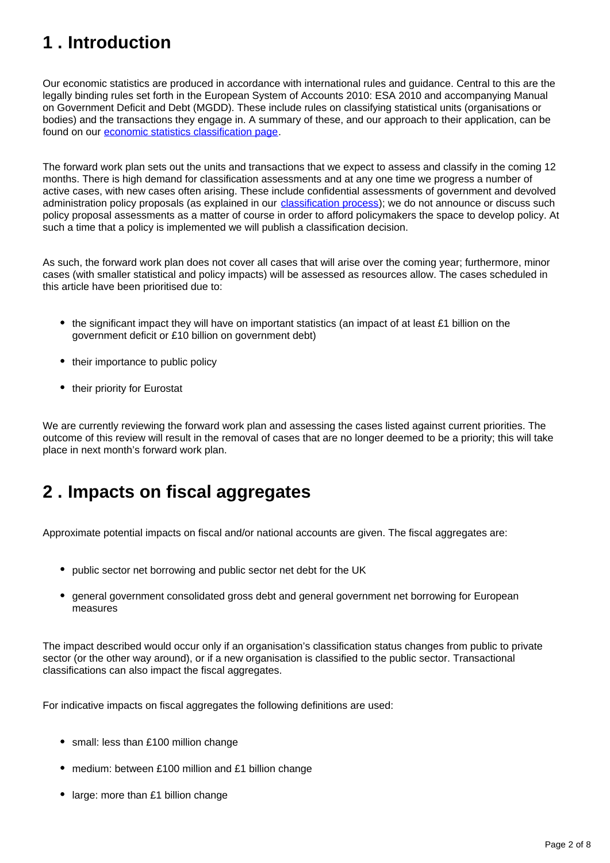# <span id="page-1-0"></span>**1 . Introduction**

Our economic statistics are produced in accordance with international rules and guidance. Central to this are the legally binding rules set forth in the European System of Accounts 2010: ESA 2010 and accompanying Manual on Government Deficit and Debt (MGDD). These include rules on classifying statistical units (organisations or bodies) and the transactions they engage in. A summary of these, and our approach to their application, can be found on our [economic statistics classification page.](https://www.ons.gov.uk/methodology/classificationsandstandards/economicstatisticsclassifications)

The forward work plan sets out the units and transactions that we expect to assess and classify in the coming 12 months. There is high demand for classification assessments and at any one time we progress a number of active cases, with new cases often arising. These include confidential assessments of government and devolved administration policy proposals (as explained in our *classification process*); we do not announce or discuss such policy proposal assessments as a matter of course in order to afford policymakers the space to develop policy. At such a time that a policy is implemented we will publish a classification decision.

As such, the forward work plan does not cover all cases that will arise over the coming year; furthermore, minor cases (with smaller statistical and policy impacts) will be assessed as resources allow. The cases scheduled in this article have been prioritised due to:

- the significant impact they will have on important statistics (an impact of at least £1 billion on the government deficit or £10 billion on government debt)
- their importance to public policy
- their priority for Eurostat

We are currently reviewing the forward work plan and assessing the cases listed against current priorities. The outcome of this review will result in the removal of cases that are no longer deemed to be a priority; this will take place in next month's forward work plan.

# <span id="page-1-1"></span>**2 . Impacts on fiscal aggregates**

Approximate potential impacts on fiscal and/or national accounts are given. The fiscal aggregates are:

- public sector net borrowing and public sector net debt for the UK
- general government consolidated gross debt and general government net borrowing for European measures

The impact described would occur only if an organisation's classification status changes from public to private sector (or the other way around), or if a new organisation is classified to the public sector. Transactional classifications can also impact the fiscal aggregates.

For indicative impacts on fiscal aggregates the following definitions are used:

- small: less than £100 million change
- medium: between £100 million and £1 billion change
- large: more than £1 billion change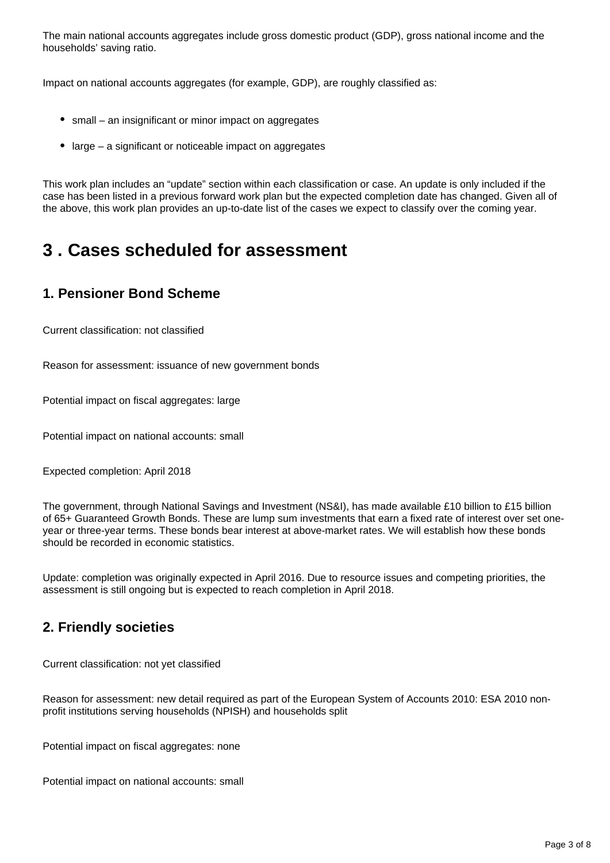The main national accounts aggregates include gross domestic product (GDP), gross national income and the households' saving ratio.

Impact on national accounts aggregates (for example, GDP), are roughly classified as:

- small an insignificant or minor impact on aggregates
- large a significant or noticeable impact on aggregates

This work plan includes an "update" section within each classification or case. An update is only included if the case has been listed in a previous forward work plan but the expected completion date has changed. Given all of the above, this work plan provides an up-to-date list of the cases we expect to classify over the coming year.

# <span id="page-2-0"></span>**3 . Cases scheduled for assessment**

#### **1. Pensioner Bond Scheme**

Current classification: not classified

Reason for assessment: issuance of new government bonds

Potential impact on fiscal aggregates: large

Potential impact on national accounts: small

Expected completion: April 2018

The government, through National Savings and Investment (NS&I), has made available £10 billion to £15 billion of 65+ Guaranteed Growth Bonds. These are lump sum investments that earn a fixed rate of interest over set oneyear or three-year terms. These bonds bear interest at above-market rates. We will establish how these bonds should be recorded in economic statistics.

Update: completion was originally expected in April 2016. Due to resource issues and competing priorities, the assessment is still ongoing but is expected to reach completion in April 2018.

### **2. Friendly societies**

Current classification: not yet classified

Reason for assessment: new detail required as part of the European System of Accounts 2010: ESA 2010 nonprofit institutions serving households (NPISH) and households split

Potential impact on fiscal aggregates: none

Potential impact on national accounts: small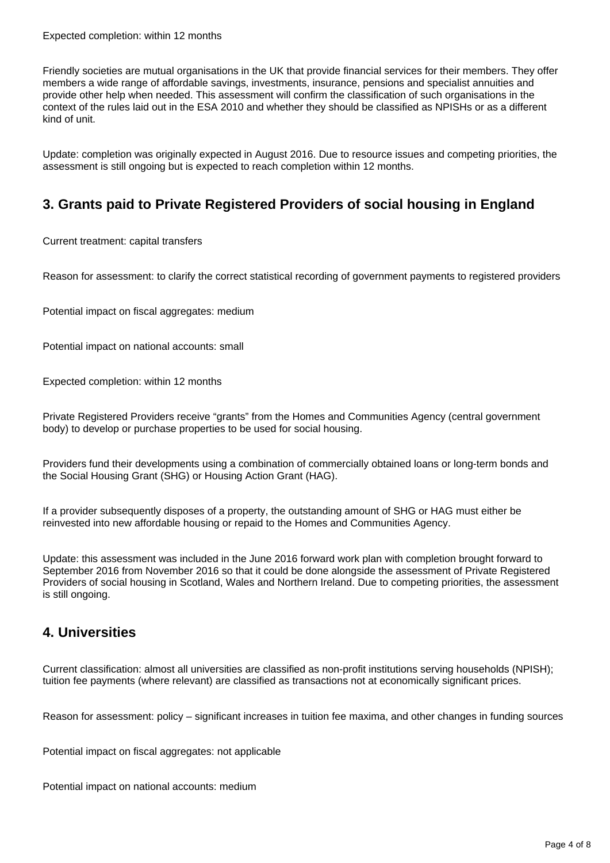Friendly societies are mutual organisations in the UK that provide financial services for their members. They offer members a wide range of affordable savings, investments, insurance, pensions and specialist annuities and provide other help when needed. This assessment will confirm the classification of such organisations in the context of the rules laid out in the ESA 2010 and whether they should be classified as NPISHs or as a different kind of unit.

Update: completion was originally expected in August 2016. Due to resource issues and competing priorities, the assessment is still ongoing but is expected to reach completion within 12 months.

# **3. Grants paid to Private Registered Providers of social housing in England**

Current treatment: capital transfers

Reason for assessment: to clarify the correct statistical recording of government payments to registered providers

Potential impact on fiscal aggregates: medium

Potential impact on national accounts: small

Expected completion: within 12 months

Private Registered Providers receive "grants" from the Homes and Communities Agency (central government body) to develop or purchase properties to be used for social housing.

Providers fund their developments using a combination of commercially obtained loans or long-term bonds and the Social Housing Grant (SHG) or Housing Action Grant (HAG).

If a provider subsequently disposes of a property, the outstanding amount of SHG or HAG must either be reinvested into new affordable housing or repaid to the Homes and Communities Agency.

Update: this assessment was included in the June 2016 forward work plan with completion brought forward to September 2016 from November 2016 so that it could be done alongside the assessment of Private Registered Providers of social housing in Scotland, Wales and Northern Ireland. Due to competing priorities, the assessment is still ongoing.

#### **4. Universities**

Current classification: almost all universities are classified as non-profit institutions serving households (NPISH); tuition fee payments (where relevant) are classified as transactions not at economically significant prices.

Reason for assessment: policy – significant increases in tuition fee maxima, and other changes in funding sources

Potential impact on fiscal aggregates: not applicable

Potential impact on national accounts: medium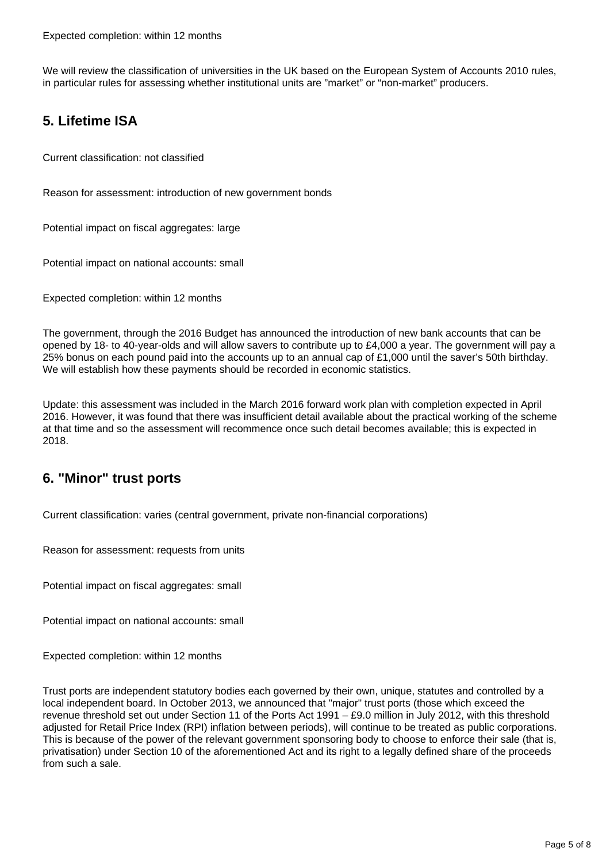We will review the classification of universities in the UK based on the European System of Accounts 2010 rules, in particular rules for assessing whether institutional units are "market" or "non-market" producers.

### **5. Lifetime ISA**

Current classification: not classified

Reason for assessment: introduction of new government bonds

Potential impact on fiscal aggregates: large

Potential impact on national accounts: small

Expected completion: within 12 months

The government, through the 2016 Budget has announced the introduction of new bank accounts that can be opened by 18- to 40-year-olds and will allow savers to contribute up to £4,000 a year. The government will pay a 25% bonus on each pound paid into the accounts up to an annual cap of £1,000 until the saver's 50th birthday. We will establish how these payments should be recorded in economic statistics.

Update: this assessment was included in the March 2016 forward work plan with completion expected in April 2016. However, it was found that there was insufficient detail available about the practical working of the scheme at that time and so the assessment will recommence once such detail becomes available; this is expected in 2018.

### **6. "Minor" trust ports**

Current classification: varies (central government, private non-financial corporations)

Reason for assessment: requests from units

Potential impact on fiscal aggregates: small

Potential impact on national accounts: small

Expected completion: within 12 months

Trust ports are independent statutory bodies each governed by their own, unique, statutes and controlled by a local independent board. In October 2013, we announced that "major" trust ports (those which exceed the revenue threshold set out under Section 11 of the Ports Act 1991 – £9.0 million in July 2012, with this threshold adjusted for Retail Price Index (RPI) inflation between periods), will continue to be treated as public corporations. This is because of the power of the relevant government sponsoring body to choose to enforce their sale (that is, privatisation) under Section 10 of the aforementioned Act and its right to a legally defined share of the proceeds from such a sale.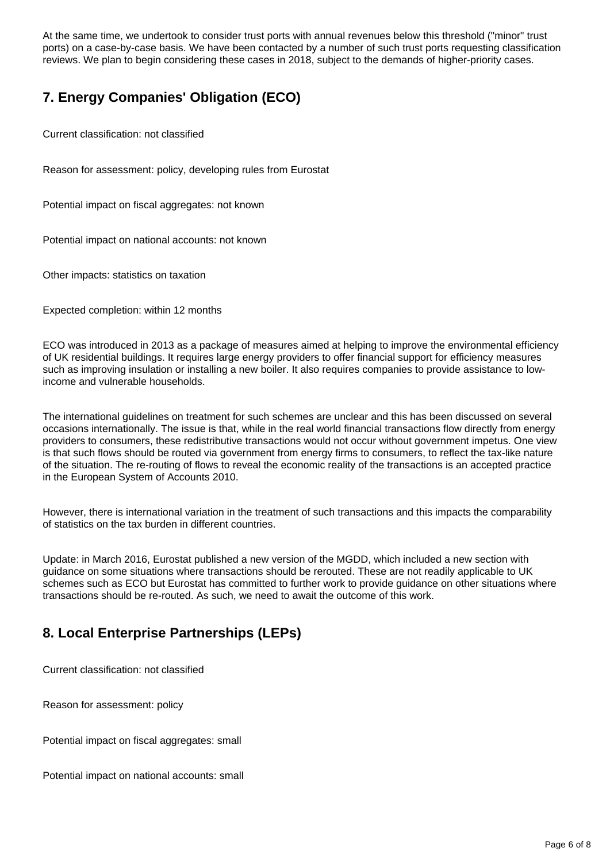At the same time, we undertook to consider trust ports with annual revenues below this threshold ("minor" trust ports) on a case-by-case basis. We have been contacted by a number of such trust ports requesting classification reviews. We plan to begin considering these cases in 2018, subject to the demands of higher-priority cases.

# **7. Energy Companies' Obligation (ECO)**

Current classification: not classified

Reason for assessment: policy, developing rules from Eurostat

Potential impact on fiscal aggregates: not known

Potential impact on national accounts: not known

Other impacts: statistics on taxation

Expected completion: within 12 months

ECO was introduced in 2013 as a package of measures aimed at helping to improve the environmental efficiency of UK residential buildings. It requires large energy providers to offer financial support for efficiency measures such as improving insulation or installing a new boiler. It also requires companies to provide assistance to lowincome and vulnerable households.

The international guidelines on treatment for such schemes are unclear and this has been discussed on several occasions internationally. The issue is that, while in the real world financial transactions flow directly from energy providers to consumers, these redistributive transactions would not occur without government impetus. One view is that such flows should be routed via government from energy firms to consumers, to reflect the tax-like nature of the situation. The re-routing of flows to reveal the economic reality of the transactions is an accepted practice in the European System of Accounts 2010.

However, there is international variation in the treatment of such transactions and this impacts the comparability of statistics on the tax burden in different countries.

Update: in March 2016, Eurostat published a new version of the MGDD, which included a new section with guidance on some situations where transactions should be rerouted. These are not readily applicable to UK schemes such as ECO but Eurostat has committed to further work to provide guidance on other situations where transactions should be re-routed. As such, we need to await the outcome of this work.

# **8. Local Enterprise Partnerships (LEPs)**

Current classification: not classified

Reason for assessment: policy

Potential impact on fiscal aggregates: small

Potential impact on national accounts: small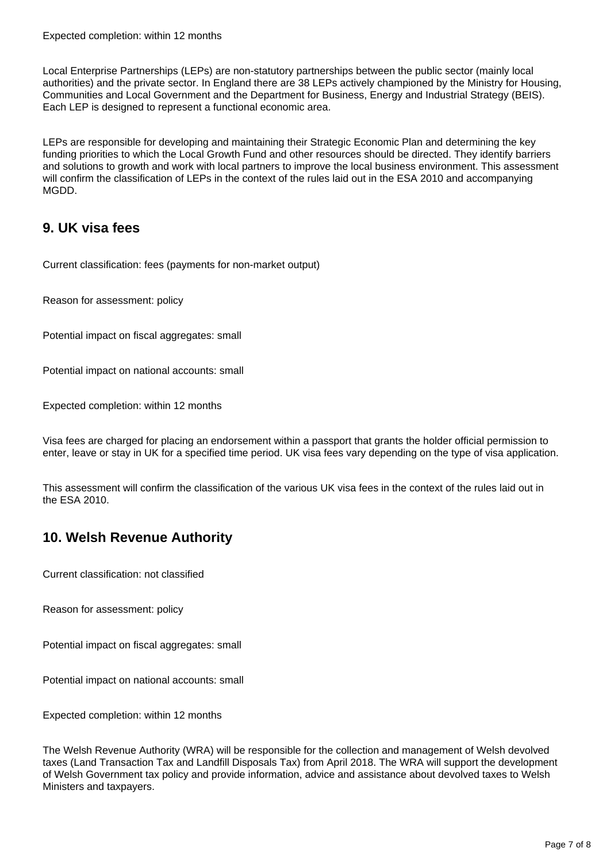Local Enterprise Partnerships (LEPs) are non-statutory partnerships between the public sector (mainly local authorities) and the private sector. In England there are 38 LEPs actively championed by the Ministry for Housing, Communities and Local Government and the Department for Business, Energy and Industrial Strategy (BEIS). Each LEP is designed to represent a functional economic area.

LEPs are responsible for developing and maintaining their Strategic Economic Plan and determining the key funding priorities to which the Local Growth Fund and other resources should be directed. They identify barriers and solutions to growth and work with local partners to improve the local business environment. This assessment will confirm the classification of LEPs in the context of the rules laid out in the ESA 2010 and accompanying MGDD.

### **9. UK visa fees**

Current classification: fees (payments for non-market output)

Reason for assessment: policy

Potential impact on fiscal aggregates: small

Potential impact on national accounts: small

Expected completion: within 12 months

Visa fees are charged for placing an endorsement within a passport that grants the holder official permission to enter, leave or stay in UK for a specified time period. UK visa fees vary depending on the type of visa application.

This assessment will confirm the classification of the various UK visa fees in the context of the rules laid out in the ESA 2010.

# **10. Welsh Revenue Authority**

Current classification: not classified

Reason for assessment: policy

Potential impact on fiscal aggregates: small

Potential impact on national accounts: small

Expected completion: within 12 months

The Welsh Revenue Authority (WRA) will be responsible for the collection and management of Welsh devolved taxes (Land Transaction Tax and Landfill Disposals Tax) from April 2018. The WRA will support the development of Welsh Government tax policy and provide information, advice and assistance about devolved taxes to Welsh Ministers and taxpayers.